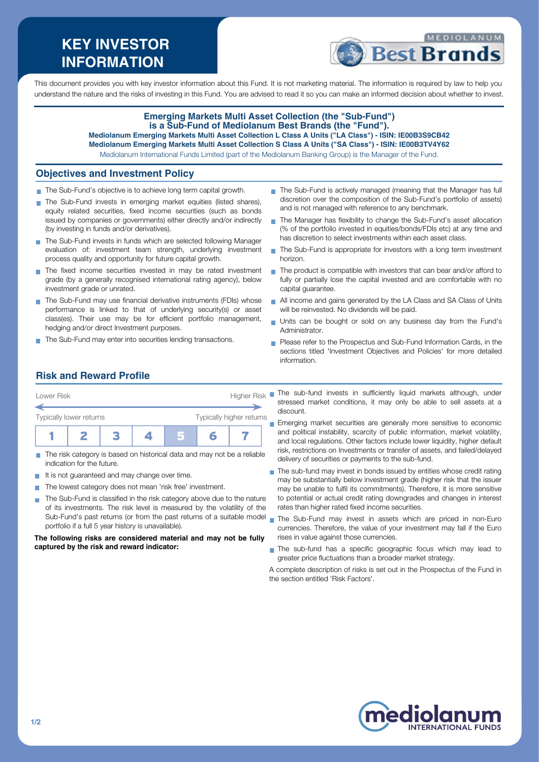# **KEY INVESTOR INFORMATION**



This document provides you with key investor information about this Fund. It is not marketing material. The information is required by law to help you understand the nature and the risks of investing in this Fund. You are advised to read it so you can make an informed decision about whether to invest.

#### **Emerging Markets Multi Asset Collection (the "Sub-Fund") is a Sub-Fund of Mediolanum Best Brands (the "Fund"). Mediolanum Emerging Markets Multi Asset Collection L Class A Units ("LA Class") - ISIN: IE00B3S9CB42**

**Mediolanum Emerging Markets Multi Asset Collection S Class A Units ("SA Class") - ISIN: IE00B3TV4Y62**

Mediolanum International Funds Limited (part of the Mediolanum Banking Group) is the Manager of the Fund.

### **Objectives and Investment Policy**

- The Sub-Fund's objective is to achieve long term capital growth.
- The Sub-Fund invests in emerging market equities (listed shares), equity related securities, fixed income securities (such as bonds issued by companies or governments) either directly and/or indirectly (by investing in funds and/or derivatives).
- The Sub-Fund invests in funds which are selected following Manager evaluation of: investment team strength, underlying investment process quality and opportunity for future capital growth.
- The fixed income securities invested in may be rated investment grade (by a generally recognised international rating agency), below investment grade or unrated.
- The Sub-Fund may use financial derivative instruments (FDIs) whose performance is linked to that of underlying security(s) or asset class(es). Their use may be for efficient portfolio management, hedging and/or direct Investment purposes.
- The Sub-Fund may enter into securities lending transactions.
- The Sub-Fund is actively managed (meaning that the Manager has full discretion over the composition of the Sub-Fund's portfolio of assets) and is not managed with reference to any benchmark.
- $\mathbf{r}$ The Manager has flexibility to change the Sub-Fund's asset allocation (% of the portfolio invested in equities/bonds/FDIs etc) at any time and has discretion to select investments within each asset class.
- The Sub-Fund is appropriate for investors with a long term investment  $\mathbf{r}$ horizon.
- $\mathbf{r}$ The product is compatible with investors that can bear and/or afford to fully or partially lose the capital invested and are comfortable with no capital guarantee.
- All income and gains generated by the LA Class and SA Class of Units will be reinvested. No dividends will be paid.
- Units can be bought or sold on any business day from the Fund's  $\mathbf{r}$ Administrator.
- Please refer to the Prospectus and Sub-Fund Information Cards, in the sections titled 'Investment Objectives and Policies' for more detailed information.

#### **Risk and Reward Profile**



- The risk category is based on historical data and may not be a reliable **Tal** indication for the future.
- It is not guaranteed and may change over time.
- The lowest category does not mean 'risk free' investment.
- The Sub-Fund is classified in the risk category above due to the nature of its investments. The risk level is measured by the volatility of the Sub-Fund's past returns (or from the past returns of a suitable model portfolio if a full 5 year history is unavailable).

**The following risks are considered material and may not be fully captured by the risk and reward indicator:**

The sub-fund invests in sufficiently liquid markets although, under stressed market conditions, it may only be able to sell assets at a discount.

Emerging market securities are generally more sensitive to economic and political instability, scarcity of public information, market volatility, and local regulations. Other factors include lower liquidity, higher default risk, restrictions on Investments or transfer of assets, and failed/delayed delivery of securities or payments to the sub-fund.

- The sub-fund may invest in bonds issued by entities whose credit rating may be substantially below investment grade (higher risk that the issuer may be unable to fulfil its commitments). Therefore, it is more sensitive to potential or actual credit rating downgrades and changes in interest rates than higher rated fixed income securities.
- The Sub-Fund may invest in assets which are priced in non-Euro currencies. Therefore, the value of your investment may fall if the Euro rises in value against those currencies.
- The sub-fund has a specific geographic focus which may lead to greater price fluctuations than a broader market strategy.

A complete description of risks is set out in the Prospectus of the Fund in the section entitled 'Risk Factors'.